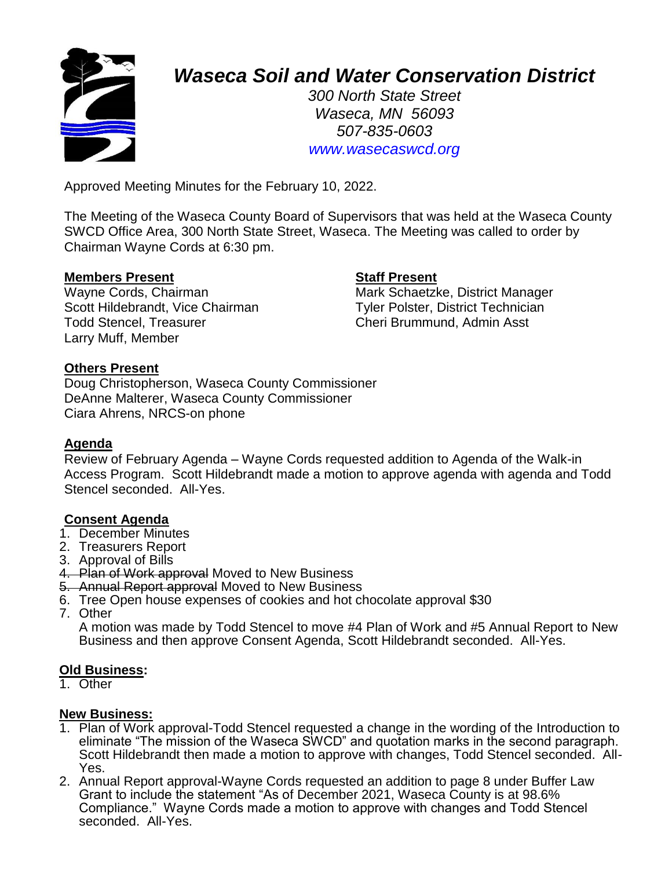

# *Waseca Soil and Water Conservation District*

*300 North State Street Waseca, MN 56093 507-835-0603 www.wasecaswcd.org*

Approved Meeting Minutes for the February 10, 2022.

The Meeting of the Waseca County Board of Supervisors that was held at the Waseca County SWCD Office Area, 300 North State Street, Waseca. The Meeting was called to order by Chairman Wayne Cords at 6:30 pm.

### **Members Present Staff Present**

Scott Hildebrandt, Vice Chairman Tyler Polster, District Technician Todd Stencel, Treasurer Cheri Brummund, Admin Asst Larry Muff, Member

Wayne Cords, Chairman Mark Schaetzke, District Manager

### **Others Present**

Doug Christopherson, Waseca County Commissioner DeAnne Malterer, Waseca County Commissioner Ciara Ahrens, NRCS-on phone

#### **Agenda**

Review of February Agenda – Wayne Cords requested addition to Agenda of the Walk-in Access Program. Scott Hildebrandt made a motion to approve agenda with agenda and Todd Stencel seconded. All-Yes.

# **Consent Agenda**

- 1. December Minutes
- 2. Treasurers Report
- 3. Approval of Bills
- 4. Plan of Work approval Moved to New Business
- 5. Annual Report approval Moved to New Business
- 6. Tree Open house expenses of cookies and hot chocolate approval \$30
- 7. Other

A motion was made by Todd Stencel to move #4 Plan of Work and #5 Annual Report to New Business and then approve Consent Agenda, Scott Hildebrandt seconded. All-Yes.

#### **Old Business:**

1. Other

#### **New Business:**

- 1. Plan of Work approval-Todd Stencel requested a change in the wording of the Introduction to eliminate "The mission of the Waseca SWCD" and quotation marks in the second paragraph. Scott Hildebrandt then made a motion to approve with changes, Todd Stencel seconded. All-Yes.
- 2. Annual Report approval-Wayne Cords requested an addition to page 8 under Buffer Law Grant to include the statement "As of December 2021, Waseca County is at 98.6% Compliance." Wayne Cords made a motion to approve with changes and Todd Stencel seconded. All-Yes.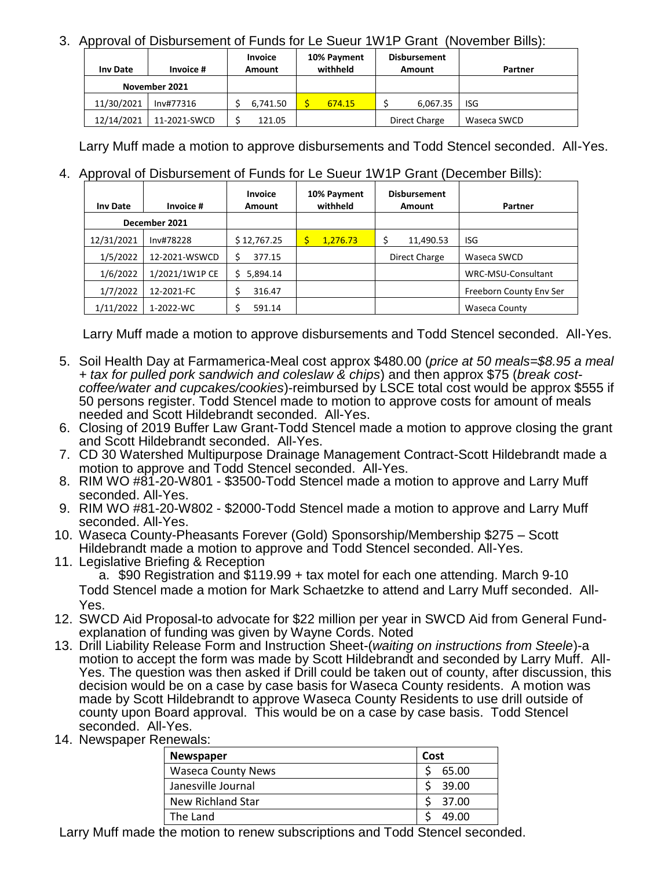# 3. Approval of Disbursement of Funds for Le Sueur 1W1P Grant (November Bills):

| Inv Date      | Invoice #    | <b>Invoice</b><br>Amount | 10% Payment<br>withheld | <b>Disbursement</b><br>Amount | Partner     |
|---------------|--------------|--------------------------|-------------------------|-------------------------------|-------------|
| November 2021 |              |                          |                         |                               |             |
| 11/30/2021    | Inv#77316    | 6,741.50                 | 674.15                  | 6,067.35                      | <b>ISG</b>  |
| 12/14/2021    | 11-2021-SWCD | 121.05                   |                         | Direct Charge                 | Waseca SWCD |

Larry Muff made a motion to approve disbursements and Todd Stencel seconded. All-Yes.

# 4. Approval of Disbursement of Funds for Le Sueur 1W1P Grant (December Bills):

| <b>Inv Date</b> | Invoice #      | Invoice<br>Amount | 10% Payment<br>withheld | <b>Disbursement</b><br>Amount | Partner                 |  |
|-----------------|----------------|-------------------|-------------------------|-------------------------------|-------------------------|--|
| December 2021   |                |                   |                         |                               |                         |  |
| 12/31/2021      | Inv#78228      | \$12,767.25       | 1.276.73                | 11,490.53                     | ISG                     |  |
| 1/5/2022        | 12-2021-WSWCD  | 377.15            |                         | Direct Charge                 | Waseca SWCD             |  |
| 1/6/2022        | 1/2021/1W1P CE | 5,894.14          |                         |                               | WRC-MSU-Consultant      |  |
| 1/7/2022        | 12-2021-FC     | 316.47            |                         |                               | Freeborn County Env Ser |  |
| 1/11/2022       | 1-2022-WC      | 591.14            |                         |                               | <b>Waseca County</b>    |  |

Larry Muff made a motion to approve disbursements and Todd Stencel seconded. All-Yes.

- 5. Soil Health Day at Farmamerica-Meal cost approx \$480.00 (*price at 50 meals=\$8.95 a meal + tax for pulled pork sandwich and coleslaw & chips*) and then approx \$75 (*break costcoffee/water and cupcakes/cookies*)-reimbursed by LSCE total cost would be approx \$555 if 50 persons register. Todd Stencel made to motion to approve costs for amount of meals needed and Scott Hildebrandt seconded. All-Yes.
- 6. Closing of 2019 Buffer Law Grant-Todd Stencel made a motion to approve closing the grant and Scott Hildebrandt seconded. All-Yes.
- 7. CD 30 Watershed Multipurpose Drainage Management Contract-Scott Hildebrandt made a motion to approve and Todd Stencel seconded. All-Yes.
- 8. RIM WO #81-20-W801 \$3500-Todd Stencel made a motion to approve and Larry Muff seconded. All-Yes.
- 9. RIM WO #81-20-W802 \$2000-Todd Stencel made a motion to approve and Larry Muff seconded. All-Yes.
- 10. Waseca County-Pheasants Forever (Gold) Sponsorship/Membership \$275 Scott Hildebrandt made a motion to approve and Todd Stencel seconded. All-Yes.
- 11. Legislative Briefing & Reception a. \$90 Registration and \$119.99 + tax motel for each one attending. March 9-10 Todd Stencel made a motion for Mark Schaetzke to attend and Larry Muff seconded. All-Yes.
- 12. SWCD Aid Proposal-to advocate for \$22 million per year in SWCD Aid from General Fundexplanation of funding was given by Wayne Cords. Noted
- 13. Drill Liability Release Form and Instruction Sheet-(*waiting on instructions from Steele*)-a motion to accept the form was made by Scott Hildebrandt and seconded by Larry Muff. All-Yes. The question was then asked if Drill could be taken out of county, after discussion, this decision would be on a case by case basis for Waseca County residents. A motion was made by Scott Hildebrandt to approve Waseca County Residents to use drill outside of county upon Board approval. This would be on a case by case basis. Todd Stencel seconded. All-Yes.
- 14. Newspaper Renewals:

| <b>Newspaper</b>          | Cost  |  |  |
|---------------------------|-------|--|--|
| <b>Waseca County News</b> | 65.00 |  |  |
| Janesville Journal        | 39.00 |  |  |
| New Richland Star         | 37.00 |  |  |
| The Land                  | 49.00 |  |  |

Larry Muff made the motion to renew subscriptions and Todd Stencel seconded.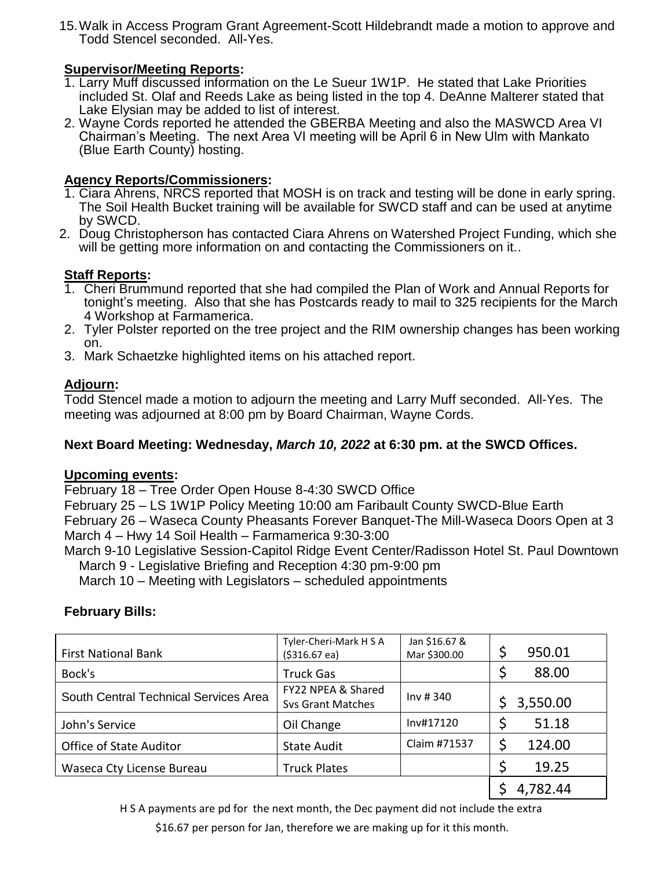15.Walk in Access Program Grant Agreement-Scott Hildebrandt made a motion to approve and Todd Stencel seconded. All-Yes.

# **Supervisor/Meeting Reports:**

- 1. Larry Muff discussed information on the Le Sueur 1W1P. He stated that Lake Priorities included St. Olaf and Reeds Lake as being listed in the top 4. DeAnne Malterer stated that Lake Elysian may be added to list of interest.
- 2. Wayne Cords reported he attended the GBERBA Meeting and also the MASWCD Area VI Chairman's Meeting. The next Area VI meeting will be April 6 in New Ulm with Mankato (Blue Earth County) hosting.

# **Agency Reports/Commissioners:**

- 1. Ciara Ahrens, NRCS reported that MOSH is on track and testing will be done in early spring. The Soil Health Bucket training will be available for SWCD staff and can be used at anytime by SWCD.
- 2. Doug Christopherson has contacted Ciara Ahrens on Watershed Project Funding, which she will be getting more information on and contacting the Commissioners on it...

# **Staff Reports:**

- 1. Cheri Brummund reported that she had compiled the Plan of Work and Annual Reports for tonight's meeting. Also that she has Postcards ready to mail to 325 recipients for the March 4 Workshop at Farmamerica.
- 2. Tyler Polster reported on the tree project and the RIM ownership changes has been working on.
- 3. Mark Schaetzke highlighted items on his attached report.

# **Adjourn:**

Todd Stencel made a motion to adjourn the meeting and Larry Muff seconded. All-Yes. The meeting was adjourned at 8:00 pm by Board Chairman, Wayne Cords.

# **Next Board Meeting: Wednesday,** *March 10, 2022* **at 6:30 pm. at the SWCD Offices.**

# **Upcoming events:**

February 18 – Tree Order Open House 8-4:30 SWCD Office

February 25 – LS 1W1P Policy Meeting 10:00 am Faribault County SWCD-Blue Earth February 26 – Waseca County Pheasants Forever Banquet-The Mill-Waseca Doors Open at 3

March 4 – Hwy 14 Soil Health – Farmamerica 9:30-3:00

March 9-10 Legislative Session-Capitol Ridge Event Center/Radisson Hotel St. Paul Downtown March 9 - Legislative Briefing and Reception 4:30 pm-9:00 pm

March 10 – Meeting with Legislators – scheduled appointments

# **February Bills:**

| <b>First National Bank</b>            | Tyler-Cheri-Mark H S A<br>$( $316.67 \text{ ea} )$ | Jan \$16.67 &<br>Mar \$300.00 | \$<br>950.01   |
|---------------------------------------|----------------------------------------------------|-------------------------------|----------------|
| Bock's                                | <b>Truck Gas</b>                                   |                               | 88.00          |
| South Central Technical Services Area | FY22 NPEA & Shared<br><b>Svs Grant Matches</b>     | Inv#340                       | \$<br>3,550.00 |
| John's Service                        | Oil Change                                         | Inv#17120                     | 51.18          |
| Office of State Auditor               | <b>State Audit</b>                                 | Claim #71537                  | \$<br>124.00   |
| Waseca Cty License Bureau             | <b>Truck Plates</b>                                |                               | 19.25          |
|                                       |                                                    |                               | 4,782.44       |

H S A payments are pd for the next month, the Dec payment did not include the extra

\$16.67 per person for Jan, therefore we are making up for it this month.